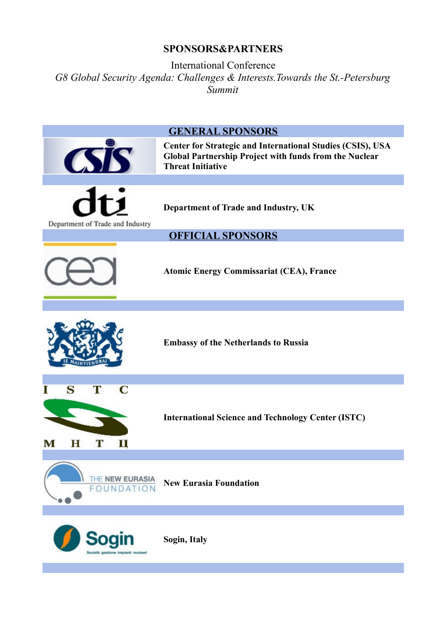## **SPONSORS&PARTNERS**

International Conference *G8 Global Security Agenda: Challenges & Interests.Towards the St.-Petersburg Summit*

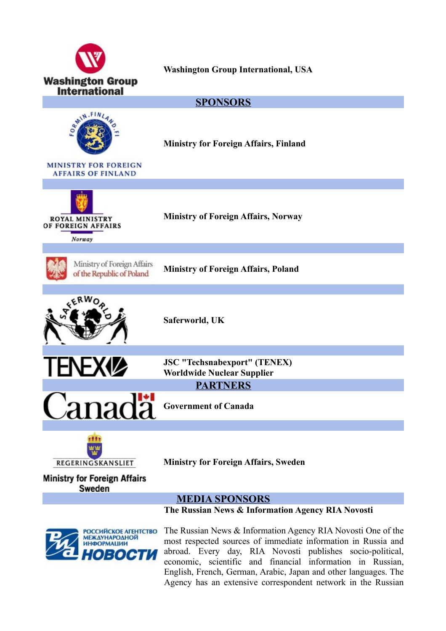

**The Russian News & Information Agency RIA Novosti**



The Russian News & Information Agency RIA Novosti One of the most respected sources of immediate information in Russia and abroad. Every day, RIA Novosti publishes socio-political, economic, scientific and financial information in Russian, English, French, German, Arabic, Japan and other languages. The Agency has an extensive correspondent network in the Russian